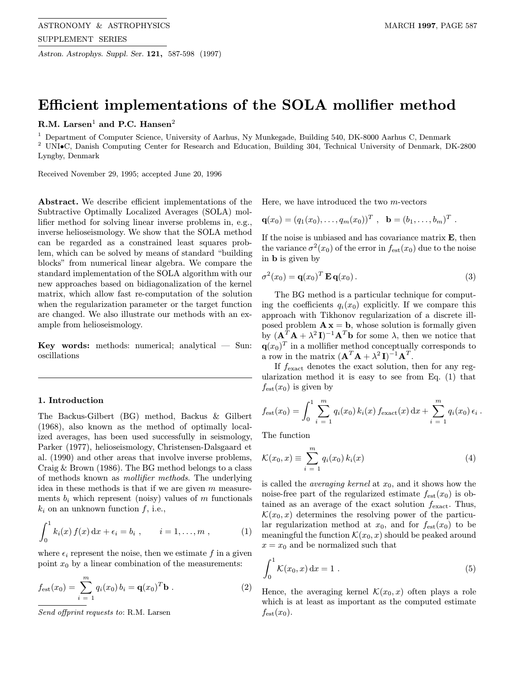Astron. Astrophys. Suppl. Ser. 121, 587-598 (1997)

# Efficient implementations of the SOLA mollifier method

# R.M. Larsen<sup>1</sup> and P.C. Hansen<sup>2</sup>

<sup>1</sup> Department of Computer Science, University of Aarhus, Ny Munkegade, Building 540, DK-8000 Aarhus C, Denmark <sup>2</sup> UNI•C, Danish Computing Center for Research and Education, Building 304, Technical University of Denmark, DK-2800 Lyngby, Denmark

Received November 29, 1995; accepted June 20, 1996

Abstract. We describe efficient implementations of the Subtractive Optimally Localized Averages (SOLA) mollifier method for solving linear inverse problems in, e.g., inverse helioseismology. We show that the SOLA method can be regarded as a constrained least squares problem, which can be solved by means of standard "building blocks" from numerical linear algebra. We compare the standard implementation of the SOLA algorithm with our new approaches based on bidiagonalization of the kernel matrix, which allow fast re-computation of the solution when the regularization parameter or the target function are changed. We also illustrate our methods with an example from helioseismology.

**Key words:** methods: numerical; analytical  $-$  Sun: oscillations

# 1. Introduction

The Backus-Gilbert (BG) method, Backus & Gilbert (1968), also known as the method of optimally localized averages, has been used successfully in seismology, Parker (1977), helioseismology, Christensen-Dalsgaard et al. (1990) and other areas that involve inverse problems, Craig & Brown (1986). The BG method belongs to a class of methods known as mollifier methods. The underlying idea in these methods is that if we are given  $m$  measurements  $b_i$  which represent (noisy) values of m functionals  $k_i$  on an unknown function  $f$ , i.e.,

$$
\int_0^1 k_i(x) f(x) dx + \epsilon_i = b_i , \qquad i = 1, ..., m , \qquad (1)
$$

where  $\epsilon_i$  represent the noise, then we estimate f in a given point  $x_0$  by a linear combination of the measurements:

$$
f_{\text{est}}(x_0) = \sum_{i=1}^{m} q_i(x_0) b_i = \mathbf{q}(x_0)^T \mathbf{b} . \qquad (2)
$$

Send offprint requests to: R.M. Larsen

Here, we have introduced the two  $m$ -vectors

$$
\mathbf{q}(x_0) = (q_1(x_0), \ldots, q_m(x_0))^T, \quad \mathbf{b} = (b_1, \ldots, b_m)^T.
$$

If the noise is unbiased and has covariance matrix  $E$ , then the variance  $\sigma^2(x_0)$  of the error in  $f_{\text{est}}(x_0)$  due to the noise in b is given by

$$
\sigma^{2}(x_{0}) = \mathbf{q}(x_{0})^{T} \mathbf{E} \mathbf{q}(x_{0}). \qquad (3)
$$

The BG method is a particular technique for computing the coefficients  $q_i(x_0)$  explicitly. If we compare this approach with Tikhonov regularization of a discrete illposed problem  $\mathbf{A} \mathbf{x} = \mathbf{b}$ , whose solution is formally given by  $(\mathbf{A}^T \mathbf{A} + \lambda^2 \mathbf{I})^{-1} \mathbf{A}^T \mathbf{b}$  for some  $\lambda$ , then we notice that  $\mathbf{q}(x_0)^T$  in a mollifier method conceptually corresponds to a row in the matrix  $(\mathbf{A}^T \mathbf{A} + \lambda^2 \mathbf{I})^{-1} \mathbf{A}^T$ .

If  $f_{\text{exact}}$  denotes the exact solution, then for any regularization method it is easy to see from Eq. (1) that  $f_{est}(x_0)$  is given by

$$
f_{\text{est}}(x_0) = \int_0^1 \sum_{i=1}^m q_i(x_0) k_i(x) f_{\text{exact}}(x) dx + \sum_{i=1}^m q_i(x_0) \epsilon_i.
$$

The function

$$
\mathcal{K}(x_0, x) \equiv \sum_{i=1}^{m} q_i(x_0) k_i(x)
$$
 (4)

is called the *averaging kernel* at  $x_0$ , and it shows how the noise-free part of the regularized estimate  $f_{est}(x_0)$  is obtained as an average of the exact solution  $f_{\text{exact}}$ . Thus,  $\mathcal{K}(x_0, x)$  determines the resolving power of the particular regularization method at  $x_0$ , and for  $f_{est}(x_0)$  to be meaningful the function  $\mathcal{K}(x_0, x)$  should be peaked around  $x = x_0$  and be normalized such that

$$
\int_0^1 K(x_0, x) dx = 1 . \tag{5}
$$

Hence, the averaging kernel  $\mathcal{K}(x_0, x)$  often plays a role which is at least as important as the computed estimate  $f_{\text{est}}(x_0)$ .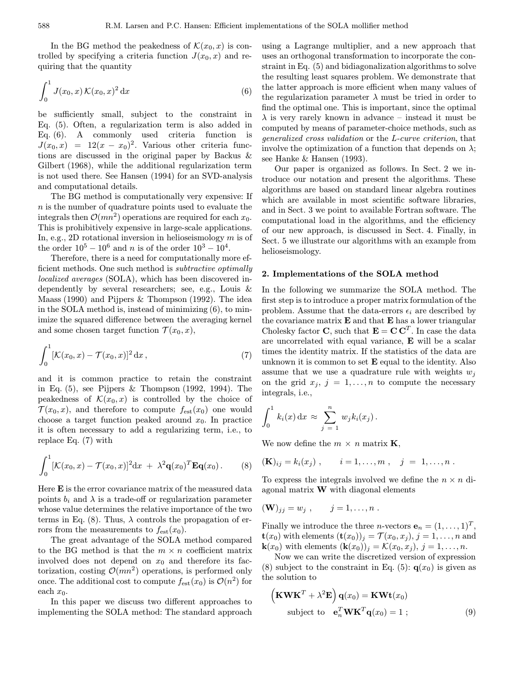In the BG method the peakedness of  $\mathcal{K}(x_0, x)$  is controlled by specifying a criteria function  $J(x_0, x)$  and requiring that the quantity

$$
\int_0^1 J(x_0, x) \mathcal{K}(x_0, x)^2 \, \mathrm{d}x \tag{6}
$$

be sufficiently small, subject to the constraint in Eq. (5). Often, a regularization term is also added in Eq. (6). A commonly used criteria function is  $J(x_0, x) = 12(x - x_0)^2$ . Various other criteria functions are discussed in the original paper by Backus & Gilbert (1968), while the additional regularization term is not used there. See Hansen (1994) for an SVD-analysis and computational details.

The BG method is computationally very expensive: If  $n$  is the number of quadrature points used to evaluate the integrals then  $\mathcal{O}(mn^2)$  operations are required for each  $x_0$ . This is prohibitively expensive in large-scale applications. In, e.g., 2D rotational inversion in helioseismology  $m$  is of the order  $10^5 - 10^6$  and n is of the order  $10^3 - 10^4$ .

Therefore, there is a need for computationally more efficient methods. One such method is subtractive optimally localized averages (SOLA), which has been discovered independently by several researchers; see, e.g., Louis & Maass (1990) and Pijpers & Thompson (1992). The idea in the SOLA method is, instead of minimizing (6), to minimize the squared difference between the averaging kernel and some chosen target function  $\mathcal{T}(x_0, x)$ ,

$$
\int_0^1 [\mathcal{K}(x_0, x) - \mathcal{T}(x_0, x)]^2 \, \mathrm{d}x \,,\tag{7}
$$

and it is common practice to retain the constraint in Eq. (5), see Pijpers & Thompson (1992, 1994). The peakedness of  $\mathcal{K}(x_0, x)$  is controlled by the choice of  $\mathcal{T}(x_0, x)$ , and therefore to compute  $f_{\text{est}}(x_0)$  one would choose a target function peaked around  $x_0$ . In practice it is often necessary to add a regularizing term, i.e., to replace Eq. (7) with

$$
\int_0^1 [\mathcal{K}(x_0,x) - \mathcal{T}(x_0,x)]^2 \mathrm{d}x + \lambda^2 \mathbf{q}(x_0)^T \mathbf{Eq}(x_0).
$$
 (8)

Here E is the error covariance matrix of the measured data points  $b_i$  and  $\lambda$  is a trade-off or regularization parameter whose value determines the relative importance of the two terms in Eq. (8). Thus,  $\lambda$  controls the propagation of errors from the measurements to  $f_{est}(x_0)$ .

The great advantage of the SOLA method compared to the BG method is that the  $m \times n$  coefficient matrix involved does not depend on  $x_0$  and therefore its factorization, costing  $\mathcal{O}(mn^2)$  operations, is performed only once. The additional cost to compute  $f_{est}(x_0)$  is  $\mathcal{O}(n^2)$  for each  $x_0$ .

In this paper we discuss two different approaches to implementing the SOLA method: The standard approach

using a Lagrange multiplier, and a new approach that uses an orthogonal transformation to incorporate the constraint in Eq.  $(5)$  and bidiagonalization algorithms to solve the resulting least squares problem. We demonstrate that the latter approach is more efficient when many values of the regularization parameter  $\lambda$  must be tried in order to find the optimal one. This is important, since the optimal  $\lambda$  is very rarely known in advance – instead it must be computed by means of parameter-choice methods, such as generalized cross validation or the L-curve criterion, that involve the optimization of a function that depends on  $\lambda$ ; see Hanke & Hansen (1993).

Our paper is organized as follows. In Sect. 2 we introduce our notation and present the algorithms. These algorithms are based on standard linear algebra routines which are available in most scientific software libraries. and in Sect. 3 we point to available Fortran software. The computational load in the algorithms, and the efficiency of our new approach, is discussed in Sect. 4. Finally, in Sect. 5 we illustrate our algorithms with an example from helioseismology.

## 2. Implementations of the SOLA method

In the following we summarize the SOLA method. The first step is to introduce a proper matrix formulation of the problem. Assume that the data-errors  $\epsilon_i$  are described by the covariance matrix  $E$  and that  $E$  has a lower triangular Cholesky factor **C**, such that  $\mathbf{E} = \mathbf{C} \mathbf{C}^T$ . In case the data are uncorrelated with equal variance, E will be a scalar times the identity matrix. If the statistics of the data are unknown it is common to set  $E$  equal to the identity. Also assume that we use a quadrature rule with weights  $w_i$ on the grid  $x_j$ ,  $j = 1, \ldots, n$  to compute the necessary integrals, i.e.,

$$
\int_0^1 k_i(x) dx \approx \sum_{j=1}^n w_j k_i(x_j).
$$

We now define the  $m \times n$  matrix **K**,

$$
(\mathbf{K})_{ij} = k_i(x_j)
$$
,  $i = 1,...,m$ ,  $j = 1,...,n$ .

To express the integrals involved we define the  $n \times n$  diagonal matrix  $\bf{W}$  with diagonal elements

$$
(\mathbf{W})_{jj} = w_j , \qquad j = 1, \ldots, n .
$$

Finally we introduce the three *n*-vectors  $\mathbf{e}_n = (1, \ldots, 1)^T$ ,  $\mathbf{t}(x_0)$  with elements  $(\mathbf{t}(x_0))_j = \mathcal{T}(x_0, x_j), j = 1, \ldots, n$  and  $\mathbf{k}(x_0)$  with elements  $(\mathbf{k}(x_0))_j = \mathcal{K}(x_0, x_j), j = 1, \ldots, n$ .

Now we can write the discretized version of expression (8) subject to the constraint in Eq. (5):  $q(x_0)$  is given as the solution to

$$
\left(\mathbf{K}\mathbf{W}\mathbf{K}^T + \lambda^2 \mathbf{E}\right) \mathbf{q}(x_0) = \mathbf{K}\mathbf{W}\mathbf{t}(x_0)
$$
  
subject to  $\mathbf{e}_n^T \mathbf{W} \mathbf{K}^T \mathbf{q}(x_0) = 1$  ; (9)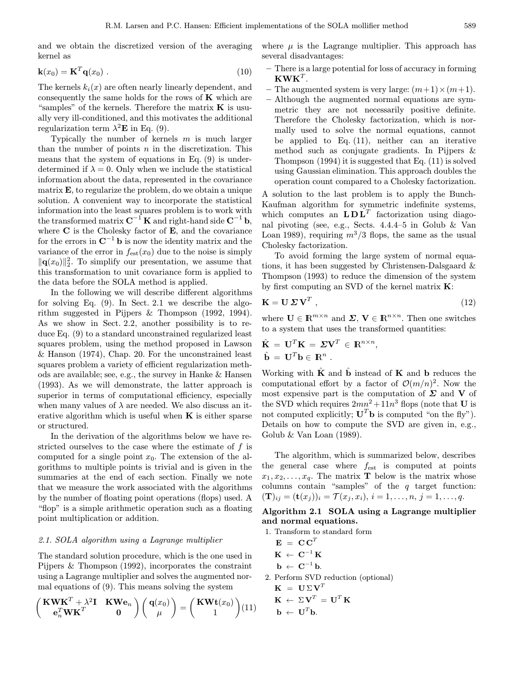and we obtain the discretized version of the averaging kernel as

$$
\mathbf{k}(x_0) = \mathbf{K}^T \mathbf{q}(x_0) \tag{10}
$$

The kernels  $k_i(x)$  are often nearly linearly dependent, and consequently the same holds for the rows of  $\bf{K}$  which are "samples" of the kernels. Therefore the matrix  $\bf{K}$  is usually very ill-conditioned, and this motivates the additional regularization term  $\lambda^2$ **E** in Eq. (9).

Typically the number of kernels  $m$  is much larger than the number of points  $n$  in the discretization. This means that the system of equations in Eq. (9) is underdetermined if  $\lambda = 0$ . Only when we include the statistical information about the data, represented in the covariance matrix E, to regularize the problem, do we obtain a unique solution. A convenient way to incorporate the statistical information into the least squares problem is to work with the transformed matrix  $C^{-1} K$  and right-hand side  $C^{-1} b$ , where  $C$  is the Cholesky factor of  $E$ , and the covariance for the errors in  $\mathbf{C}^{-1}$  **b** is now the identity matrix and the variance of the error in  $f_{est}(x_0)$  due to the noise is simply  $\|\mathbf{q}(x_0)\|_2^2$ . To simplify our presentation, we assume that this transformation to unit covariance form is applied to the data before the SOLA method is applied.

In the following we will describe different algorithms for solving Eq. (9). In Sect. 2.1 we describe the algorithm suggested in Pijpers & Thompson (1992, 1994). As we show in Sect. 2.2, another possibility is to reduce Eq. (9) to a standard unconstrained regularized least squares problem, using the method proposed in Lawson & Hanson (1974), Chap. 20. For the unconstrained least squares problem a variety of efficient regularization methods are available; see, e.g., the survey in Hanke & Hansen (1993). As we will demonstrate, the latter approach is superior in terms of computational efficiency, especially when many values of  $\lambda$  are needed. We also discuss an iterative algorithm which is useful when  $K$  is either sparse or structured.

In the derivation of the algorithms below we have restricted ourselves to the case where the estimate of f is computed for a single point  $x_0$ . The extension of the algorithms to multiple points is trivial and is given in the summaries at the end of each section. Finally we note that we measure the work associated with the algorithms by the number of floating point operations (flops) used. A "flop" is a simple arithmetic operation such as a floating point multiplication or addition.

## 2.1. SOLA algorithm using a Lagrange multiplier

The standard solution procedure, which is the one used in Pijpers & Thompson (1992), incorporates the constraint using a Lagrange multiplier and solves the augmented normal equations of (9). This means solving the system

$$
\begin{pmatrix} \mathbf{K} \mathbf{W} \mathbf{K}^T + \lambda^2 \mathbf{I} & \mathbf{K} \mathbf{W} \mathbf{e}_n \\ \mathbf{e}_n^T \mathbf{W} \mathbf{K}^T & \mathbf{0} \end{pmatrix} \begin{pmatrix} \mathbf{q}(x_0) \\ \mu \end{pmatrix} = \begin{pmatrix} \mathbf{K} \mathbf{W} \mathbf{t}(x_0) \\ 1 \end{pmatrix} (11)
$$

where  $\mu$  is the Lagrange multiplier. This approach has several disadvantages:

- There is a large potential for loss of accuracy in forming  $KWK^{T}$ .
- The augmented system is very large:  $(m+1) \times (m+1)$ .
- Although the augmented normal equations are symmetric they are not necessarily positive definite. Therefore the Cholesky factorization, which is normally used to solve the normal equations, cannot be applied to Eq. (11), neither can an iterative method such as conjugate gradients. In Pijpers & Thompson (1994) it is suggested that Eq. (11) is solved using Gaussian elimination. This approach doubles the operation count compared to a Cholesky factorization.

A solution to the last problem is to apply the Bunch-Kaufman algorithm for symmetric indefinite systems, which computes an  $L\mathbf{D}L^T$  factorization using diagonal pivoting (see, e.g., Sects. 4.4.4–5 in Golub & Van Loan 1989), requiring  $m^3/3$  flops, the same as the usual Cholesky factorization.

To avoid forming the large system of normal equations, it has been suggested by Christensen-Dalsgaard & Thompson (1993) to reduce the dimension of the system by first computing an SVD of the kernel matrix  $\mathbf{K}$ :

$$
\mathbf{K} = \mathbf{U} \, \boldsymbol{\Sigma} \, \mathbf{V}^T \tag{12}
$$

where  $\mathbf{U} \in \mathbb{R}^{m \times n}$  and  $\mathbf{\Sigma}, \mathbf{V} \in \mathbb{R}^{n \times n}$ . Then one switches to a system that uses the transformed quantities:

$$
\hat{\mathbf{K}} = \mathbf{U}^T \mathbf{K} = \boldsymbol{\Sigma} \mathbf{V}^T \in \mathbb{R}^{n \times n},
$$
  

$$
\hat{\mathbf{b}} = \mathbf{U}^T \mathbf{b} \in \mathbb{R}^n.
$$

Working with  $\hat{\mathbf{K}}$  and  $\hat{\mathbf{b}}$  instead of **K** and **b** reduces the computational effort by a factor of  $\mathcal{O}(m/n)^2$ . Now the most expensive part is the computation of  $\Sigma$  and V of the SVD which requires  $2mn^2+11n^3$  flops (note that **U** is not computed explicitly;  $\mathbf{U}^T \mathbf{b}$  is computed "on the fly"). Details on how to compute the SVD are given in, e.g., Golub & Van Loan (1989).

The algorithm, which is summarized below, describes the general case where  $f_{est}$  is computed at points  $x_1, x_2, \ldots, x_q$ . The matrix **T** below is the matrix whose columns contain "samples" of the  $q$  target function:  $(\mathbf{T})_{ij} = (\mathbf{t}(x_i))_i = \mathcal{T}(x_i, x_i), i = 1, \ldots, n, j = 1, \ldots, q.$ 

# Algorithm 2.1 SOLA using a Lagrange multiplier and normal equations.

- 1. Transform to standard form
- $\mathbf{E} = \mathbf{C} \mathbf{C}^T$  $\mathbf{K}~\leftarrow~\mathbf{C}^{-1}\,\mathbf{K}$  $\mathbf{b} \leftarrow \mathbf{C}^{-1} \mathbf{b}$ . 2. Perform SVD reduction (optional)  $\mathbf{K} = \mathbf{U} \Sigma \mathbf{V}^T$  $\mathbf{K} \leftarrow \Sigma \mathbf{V}^T = \mathbf{U}^T \mathbf{K}$  $\mathbf{b} \leftarrow \mathbf{U}^T \mathbf{b}$ .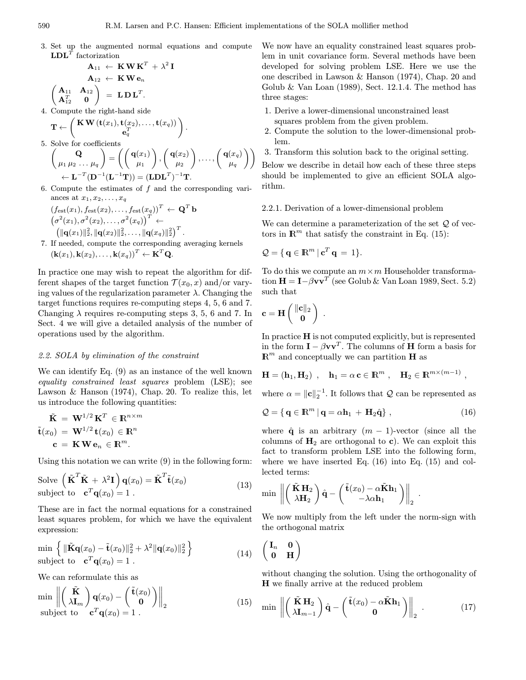3. Set up the augmented normal equations and compute  $\mathbf{LDL}^T$  factorization

$$
\mathbf{A}_{11} \leftarrow \mathbf{K} \mathbf{W} \mathbf{K}^{T} + \lambda^{2} \mathbf{I}
$$
\n
$$
\mathbf{A}_{12} \leftarrow \mathbf{K} \mathbf{W} \mathbf{e}_{n}
$$
\n
$$
\begin{pmatrix}\n\mathbf{A}_{11} & \mathbf{A}_{12} \\
\mathbf{A}_{12}^{T} & \mathbf{0}\n\end{pmatrix} = \mathbf{L} \mathbf{D} \mathbf{L}^{T}.
$$
\nCompute the right-hand side

4. Compute the right-hand side  
\n
$$
\mathbf{T} \leftarrow \begin{pmatrix} \mathbf{K} \mathbf{W} \left( \mathbf{t}(x_1), \mathbf{t}(x_2), \ldots, \mathbf{t}(x_q) \right) \\ \mathbf{e}_q^T \end{pmatrix}.
$$

- 5. Solve for coefficients  $\begin{pmatrix} 1 & 0 \\ 0 & 0 \end{pmatrix}$  $\mu_1 \mu_2 \ldots \mu_q$  $\bigg) = \bigg( \bigg( \mathbf{q}(x_1) \bigg)$  $\mu_1$  $\bigg)$ ,  $\bigg( \mathbf{q}(x_2)$  $\mu_2$  $\bigg)\,,\ldots,\left( \frac{\mathbf{q}(x_q)}{\mu_q}\right)$  $\setminus$  $\leftarrow \mathbf{L}^{-T}(\mathbf{D}^{-1}(\mathbf{L}^{-1}\mathbf{T})) = (\mathbf{L}\mathbf{D}\mathbf{L}^T)^{-1}\mathbf{T}.$
- 6. Compute the estimates of  $f$  and the corresponding variances at  $x_1, x_2, \ldots, x_q$

$$
(f_{\text{est}}(x_1), f_{\text{est}}(x_2), \ldots, f_{\text{est}}(x_q))^T \leftarrow \mathbf{Q}^T \mathbf{b} \n\left(\sigma^2(x_1), \sigma^2(x_2), \ldots, \sigma^2(x_q)\right)^T \leftarrow \n\left(\|\mathbf{q}(x_1)\|_2^2, \|\mathbf{q}(x_2)\|_2^2, \ldots, \|\mathbf{q}(x_q)\|_2^2\right)^T.
$$

7. If needed, compute the corresponding averaging kernels  $(\mathbf{k}(x_1), \mathbf{k}(x_2), \ldots, \mathbf{k}(x_q))^T \leftarrow \mathbf{K}^T \mathbf{Q}.$ 

In practice one may wish to repeat the algorithm for different shapes of the target function  $\mathcal{T}(x_0, x)$  and/or varying values of the regularization parameter  $\lambda$ . Changing the target functions requires re-computing steps 4, 5, 6 and 7. Changing  $\lambda$  requires re-computing steps 3, 5, 6 and 7. In Sect. 4 we will give a detailed analysis of the number of operations used by the algorithm.

# 2.2. SOLA by elimination of the constraint

We can identify Eq. (9) as an instance of the well known equality constrained least squares problem (LSE); see Lawson & Hanson (1974), Chap. 20. To realize this, let us introduce the following quantities:

$$
\tilde{\mathbf{K}} = \mathbf{W}^{1/2} \mathbf{K}^T \in \mathbb{R}^{n \times m}
$$

$$
\tilde{\mathbf{t}}(x_0) = \mathbf{W}^{1/2} \mathbf{t}(x_0) \in \mathbb{R}^n
$$

$$
\mathbf{c} = \mathbf{K} \mathbf{W} \mathbf{e}_n \in \mathbb{R}^m.
$$

Using this notation we can write (9) in the following form:

Solve 
$$
(\tilde{\mathbf{K}}^T \tilde{\mathbf{K}} + \lambda^2 \mathbf{I}) \mathbf{q}(x_0) = \tilde{\mathbf{K}}^T \tilde{\mathbf{t}}(x_0)
$$
  
subject to  $\mathbf{c}^T \mathbf{q}(x_0) = 1$ . (13)

These are in fact the normal equations for a constrained least squares problem, for which we have the equivalent expression:

$$
\min \left\{ \|\tilde{\mathbf{K}}\mathbf{q}(x_0) - \tilde{\mathbf{t}}(x_0)\|_2^2 + \lambda^2 \|\mathbf{q}(x_0)\|_2^2 \right\}
$$
\nsubject to 
$$
\mathbf{c}^T \mathbf{q}(x_0) = 1.
$$
\n(14)

We can reformulate this as

$$
\min_{\text{subject to}} \left\| \begin{pmatrix} \tilde{\mathbf{K}} \\ \lambda \mathbf{I}_m \end{pmatrix} \mathbf{q}(x_0) - \begin{pmatrix} \tilde{\mathbf{t}}(x_0) \\ \mathbf{0} \end{pmatrix} \right\|_2 \tag{15}
$$

We now have an equality constrained least squares problem in unit covariance form. Several methods have been developed for solving problem LSE. Here we use the one described in Lawson & Hanson (1974), Chap. 20 and Golub  $\&$  Van Loan (1989), Sect. 12.1.4. The method has three stages:

- 1. Derive a lower-dimensional unconstrained least
- squares problem from the given problem. 2. Compute the solution to the lower-dimensional prob-
- lem.
- 3. Transform this solution back to the original setting.

Below we describe in detail how each of these three steps should be implemented to give an efficient SOLA algorithm.

# 2.2.1. Derivation of a lower-dimensional problem

We can determine a parameterization of the set  $\mathcal Q$  of vectors in  $\mathbb{R}^m$  that satisfy the constraint in Eq. (15):

$$
\mathcal{Q} = \{ \, \mathbf{q} \in \mathbb{R}^m \, | \, \mathbf{c}^T \, \mathbf{q} \, = \, 1 \}.
$$

To do this we compute an  $m \times m$  Householder transformation  $\mathbf{H} = \mathbf{I} - \beta \mathbf{v} \mathbf{v}^T$  (see Golub & Van Loan 1989, Sect. 5.2) such that

$$
\mathbf{c} = \mathbf{H} \begin{pmatrix} \|\mathbf{c}\|_2 \\ \mathbf{0} \end{pmatrix} .
$$

In practice  $H$  is not computed explicitly, but is represented in the form  $\mathbf{I} - \beta \mathbf{v} \mathbf{v}^T$ . The columns of **H** form a basis for  $\mathbb{R}^m$  and conceptually we can partition **H** as

$$
\mathbf{H} = (\mathbf{h}_1, \mathbf{H}_2) \ , \quad \mathbf{h}_1 = \alpha \, \mathbf{c} \in \mathbb{R}^m \ , \quad \mathbf{H}_2 \in \mathbb{R}^{m \times (m-1)} \ ,
$$

where  $\alpha = ||\mathbf{c}||_2^{-1}$ . It follows that  $\mathcal Q$  can be represented as

$$
Q = \{ \mathbf{q} \in \mathbb{R}^m \, | \, \mathbf{q} = \alpha \mathbf{h}_1 + \mathbf{H}_2 \hat{\mathbf{q}} \},\tag{16}
$$

where  $\hat{q}$  is an arbitrary  $(m - 1)$ -vector (since all the columns of  $H_2$  are orthogonal to c). We can exploit this fact to transform problem LSE into the following form, where we have inserted Eq. (16) into Eq. (15) and collected terms:

$$
\min \left\| \begin{pmatrix} \tilde{\mathbf{K}} \mathbf{H}_2 \\ \lambda \mathbf{H}_2 \end{pmatrix} \hat{\mathbf{q}} - \begin{pmatrix} \tilde{\mathbf{t}}(x_0) - \alpha \tilde{\mathbf{K}} \mathbf{h}_1 \\ -\lambda \alpha \mathbf{h}_1 \end{pmatrix} \right\|_2
$$

We now multiply from the left under the norm-sign with the orthogonal matrix

.

$$
\left(\begin{matrix} \mathbf{I}_n & \mathbf{0} \\ \mathbf{0} & \mathbf{H} \end{matrix}\right)
$$

without changing the solution. Using the orthogonality of H we finally arrive at the reduced problem

$$
\min \left\| \left( \frac{\tilde{\mathbf{K}} \mathbf{H}_2}{\lambda \mathbf{I}_{m-1}} \right) \hat{\mathbf{q}} - \left( \frac{\tilde{\mathbf{t}}(x_0) - \alpha \tilde{\mathbf{K}} \mathbf{h}_1}{0} \right) \right\|_2 \tag{17}
$$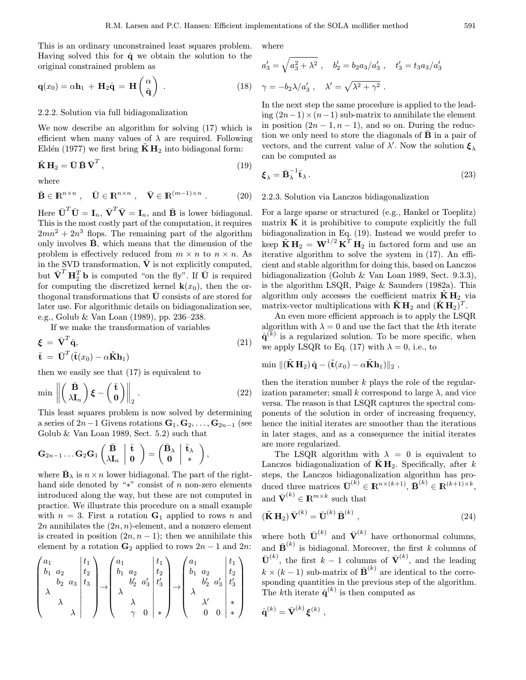This is an ordinary unconstrained least squares problem. Having solved this for  $\hat{q}$  we obtain the solution to the original constrained problem as

$$
\mathbf{q}(x_0) = \alpha \mathbf{h}_1 + \mathbf{H}_2 \hat{\mathbf{q}} = \mathbf{H} \begin{pmatrix} \alpha \\ \hat{\mathbf{q}} \end{pmatrix} . \tag{18}
$$

## 2.2.2. Solution via full bidiagonalization

We now describe an algorithm for solving (17) which is efficient when many values of  $\lambda$  are required. Following Eldén (1977) we first bring  $\tilde{K} H_2$  into bidiagonal form:

$$
\tilde{\mathbf{K}}\,\mathbf{H}_2 = \bar{\mathbf{U}}\,\bar{\mathbf{B}}\,\bar{\mathbf{V}}^T,\tag{19}
$$

where

$$
\bar{\mathbf{B}} \in \mathbb{R}^{n \times n} , \quad \bar{\mathbf{U}} \in \mathbb{R}^{n \times n} , \quad \bar{\mathbf{V}} \in \mathbb{R}^{(m-1)\times n} . \tag{20}
$$

Here  $\bar{\mathbf{U}}^T \bar{\mathbf{U}} = \mathbf{I}_n$ ,  $\bar{\mathbf{V}}^T \bar{\mathbf{V}} = \mathbf{I}_n$ , and  $\bar{\mathbf{B}}$  is lower bidiagonal. This is the most costly part of the computation, it requires  $2mn^2 + 2n^3$  flops. The remaining part of the algorithm only involves  $\bar{\mathbf{B}}$ , which means that the dimension of the problem is effectively reduced from  $m \times n$  to  $n \times n$ . As in the SVD transformation,  $\bar{V}$  is not explicitly computed, but  $\bar{\mathbf{V}}^T \mathbf{H}_2^T \mathbf{b}$  is computed "on the fly". If  $\bar{\mathbf{U}}$  is required for computing the discretized kernel  $\mathbf{k}(x_0)$ , then the orthogonal transformations that  $\bar{U}$  consists of are stored for later use. For algorithmic details on bidiagonalization see, e.g., Golub & Van Loan (1989), pp. 236–238.

If we make the transformation of variables

$$
\boldsymbol{\xi} = \bar{\mathbf{V}}^T \hat{\mathbf{q}},
$$
  
\n
$$
\bar{\mathbf{t}} = \bar{\mathbf{U}}^T (\tilde{\mathbf{t}}(x_0) - \alpha \tilde{\mathbf{K}} \mathbf{h}_1)
$$
\n(21)

then we easily see that (17) is equivalent to

$$
\min \left\| \left( \frac{\bar{\mathbf{B}}}{\lambda \mathbf{I}_n} \right) \boldsymbol{\xi} - \left( \frac{\bar{\mathbf{t}}}{\mathbf{0}} \right) \right\|_2.
$$
 (22)

This least squares problem is now solved by determining a series of  $2n-1$  Givens rotations  $\mathbf{G}_1, \mathbf{G}_2, \ldots, \mathbf{G}_{2n-1}$  (see Golub & Van Loan 1989, Sect. 5.2) such that

$$
\mathbf{G}_{2n-1}\ldots\mathbf{G}_2\mathbf{G}_1\left(\begin{matrix}\bar{\mathbf{B}}\\\lambda\mathbf{I}_n\end{matrix}\ \middle|\ \begin{matrix}\bar{\mathbf{t}}\\ \mathbf{0}\end{matrix}\right)=\left(\begin{matrix}\bar{\mathbf{B}}_{\lambda}\\\mathbf{0}\end{matrix}\ \middle|\ \begin{matrix}\bar{\mathbf{t}}_{\lambda}\\\ast\end{matrix}\ \right),
$$

where  $\bar{\mathbf{B}}_{\lambda}$  is  $n \times n$  lower bidiagonal. The part of the righthand side denoted by "\*" consist of n non-zero elements introduced along the way, but these are not computed in practice. We illustrate this procedure on a small example with  $n = 3$ . First a rotation  $G_1$  applied to rows n and 2n annihilates the  $(2n, n)$ -element, and a nonzero element is created in position  $(2n, n-1)$ ; then we annihilate this element by a rotation  $G_2$  applied to rows  $2n - 1$  and  $2n$ :

 a1 b<sup>1</sup> a<sup>2</sup> b<sup>2</sup> a<sup>3</sup> λ λ λ t1 t2 t3 → a1 b<sup>1</sup> a<sup>2</sup> b0 <sup>2</sup> a<sup>0</sup> 3 λ λ γ 0 t1 t2 t0 3 ∗ → a1 b<sup>1</sup> a<sup>2</sup> b0 <sup>2</sup> a<sup>0</sup> 3 λ λ0 0 0 t1 t2 t0 3 ∗ ∗ 

where

$$
a'_3 = \sqrt{a_3^2 + \lambda^2}
$$
,  $b'_2 = b_2 a_3 / a'_3$ ,  $t'_3 = t_3 a_3 / a'_3$   
 $\gamma = -b_2 \lambda / a'_3$ ,  $\lambda' = \sqrt{\lambda^2 + \gamma^2}$ .

In the next step the same procedure is applied to the leading  $(2n-1) \times (n-1)$  sub-matrix to annihilate the element in position  $(2n-1, n-1)$ , and so on. During the reduction we only need to store the diagonals of  $\bf{B}$  in a pair of vectors, and the current value of  $\lambda'$ . Now the solution  $\xi_{\lambda}$ can be computed as

$$
\boldsymbol{\xi}_{\lambda} = \bar{\mathbf{B}}_{\lambda}^{-1} \bar{\mathbf{t}}_{\lambda} \,. \tag{23}
$$

# 2.2.3. Solution via Lanczos bidiagonalization

For a large sparse or structured (e.g., Hankel or Toeplitz) matrix  $\bf{K}$  it is prohibitive to compute explicitly the full bidiagonalization in Eq. (19). Instead we would prefer to keep  $\tilde{\mathbf{K}} \mathbf{H}_2 = \mathbf{W}^{1/2} \mathbf{K}^T \mathbf{H}_2$  in factored form and use an iterative algorithm to solve the system in (17). An efficient and stable algorithm for doing this, based on Lanczos bidiagonalization (Golub & Van Loan 1989, Sect. 9.3.3), is the algorithm LSQR, Paige & Saunders (1982a). This algorithm only accesses the coefficient matrix  $\mathbf{K} \mathbf{H}_2$  via matrix-vector multiplications with  $\mathbf{K} \mathbf{H}_2$  and  $(\mathbf{K} \mathbf{H}_2)^T$ .

An even more efficient approach is to apply the LSQR algorithm with  $\lambda = 0$  and use the fact that the kth iterate  $\hat{\mathbf{q}}^{(k)}$  is a regularized solution. To be more specific, when we apply LSQR to Eq. (17) with  $\lambda = 0$ , i.e., to

$$
\min \|(\tilde{\mathbf{K}}\,\mathbf{H}_2)\,\hat{\mathbf{q}} - (\tilde{\mathbf{t}}(x_0) - \alpha \tilde{\mathbf{K}}\mathbf{h}_1)\|_2\;,
$$

then the iteration number  $k$  plays the role of the regularization parameter; small k correspond to large  $\lambda$ , and vice versa. The reason is that LSQR captures the spectral components of the solution in order of increasing frequency, hence the initial iterates are smoother than the iterations in later stages, and as a consequence the initial iterates are more regularized.

The LSQR algorithm with  $\lambda = 0$  is equivalent to Lanczos bidiagonalization of  $KH_2$ . Specifically, after k steps, the Lanczos bidiagonalization algorithm has produced three matrices  $\bar{\mathbf{U}}^{(k)} \in \mathbb{R}^{n \times (k+1)}$ ,  $\bar{\mathbf{B}}^{(k)} \in \mathbb{R}^{(k+1)\times k}$ , and  $\bar{\textbf{V}}^{(k)} \in \mathbb{R}^{m \times k}$  such that

$$
(\tilde{\mathbf{K}}\,\mathbf{H}_2)\,\bar{\mathbf{V}}^{(k)} = \bar{\mathbf{U}}^{(k)}\,\bar{\mathbf{B}}^{(k)}\,,\tag{24}
$$

where both  $\bar{\mathbf{U}}^{(k)}$  and  $\bar{\mathbf{V}}^{(k)}$  have orthonormal columns, and  $\bar{\mathbf{B}}^{(k)}$  is bidiagonal. Moreover, the first k columns of  $\bar{\mathbf{U}}^{(k)}$ , the first  $k-1$  columns of  $\bar{\mathbf{V}}^{(k)}$ , and the leading  $k \times (k-1)$  sub-matrix of  $\bar{\mathbf{B}}^{(k)}$  are identical to the corresponding quantities in the previous step of the algorithm. The kth iterate  $\hat{\mathbf{q}}^{(k)}$  is then computed as

$$
\hat{\mathbf{q}}^{(k)} = \bar{\mathbf{V}}^{(k)} \, \boldsymbol{\xi}^{(k)} \;,
$$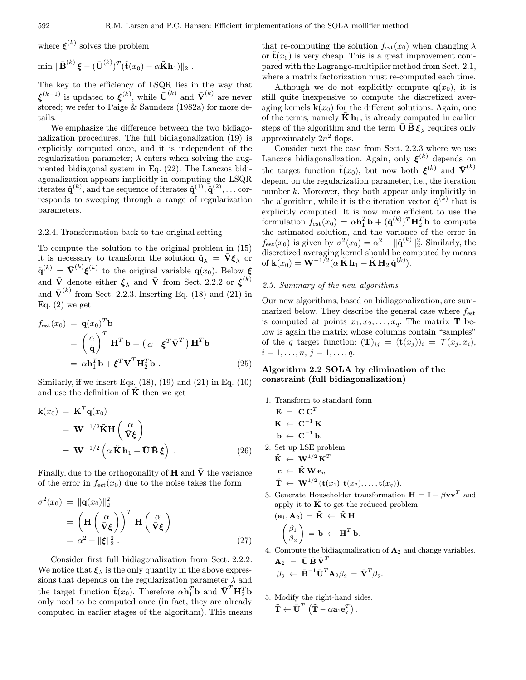where  $\xi^{(k)}$  solves the problem

$$
\min \|\bar{\mathbf{B}}^{(k)}\boldsymbol{\xi} - (\bar{\mathbf{U}}^{(k)})^T (\tilde{\mathbf{t}}(x_0) - \alpha \tilde{\mathbf{K}} \mathbf{h}_1)\|_2.
$$

The key to the efficiency of LSQR lies in the way that  $\xi^{(k-1)}$  is updated to  $\xi^{(k)}$ , while  $\bar{\mathbf{U}}^{(k)}$  and  $\bar{\mathbf{V}}^{(k)}$  are never stored; we refer to Paige & Saunders (1982a) for more details.

We emphasize the difference between the two bidiagonalization procedures. The full bidiagonalization (19) is explicitly computed once, and it is independent of the regularization parameter;  $\lambda$  enters when solving the augmented bidiagonal system in Eq. (22). The Lanczos bidiagonalization appears implicitly in computing the LSQR iterates  $\hat{\mathbf{q}}^{(k)},$  and the sequence of iterates  $\hat{\mathbf{q}}^{(1)}, \hat{\mathbf{q}}^{(2)}, \dots \text{cor-}$ responds to sweeping through a range of regularization parameters.

# 2.2.4. Transformation back to the original setting

To compute the solution to the original problem in (15) it is necessary to transform the solution  $\hat{\mathbf{q}}_{\lambda} = \bar{\mathbf{V}} \boldsymbol{\xi}_{\lambda}$  or  $\hat{\mathbf{q}}^{(k)} = \bar{\mathbf{V}}^{(k)} \boldsymbol{\xi}^{(k)}$  to the original variable  $\mathbf{q}(x_0)$ . Below  $\boldsymbol{\xi}$ and  $\bar{\mathbf{V}}$  denote either  $\boldsymbol{\xi}_{\lambda}$  and  $\bar{\mathbf{V}}$  from Sect. 2.2.2 or  $\boldsymbol{\xi}^{(k)}$ and  $\bar{\mathbf{V}}^{(k)}$  from Sect. 2.2.3. Inserting Eq. (18) and (21) in Eq.  $(2)$  we get

$$
f_{\text{est}}(x_0) = \mathbf{q}(x_0)^T \mathbf{b}
$$
  
=  $\begin{pmatrix} \alpha \\ \hat{\mathbf{q}} \end{pmatrix}^T \mathbf{H}^T \mathbf{b} = \begin{pmatrix} \alpha & \boldsymbol{\xi}^T \bar{\mathbf{V}}^T \end{pmatrix} \mathbf{H}^T \mathbf{b}$   
=  $\alpha \mathbf{h}_1^T \mathbf{b} + \boldsymbol{\xi}^T \bar{\mathbf{V}}^T \mathbf{H}_2^T \mathbf{b}$ . (25)

Similarly, if we insert Eqs.  $(18)$ ,  $(19)$  and  $(21)$  in Eq.  $(10)$ and use the definition of  $\tilde{K}$  then we get

$$
\mathbf{k}(x_0) = \mathbf{K}^T \mathbf{q}(x_0)
$$
  
=  $\mathbf{W}^{-1/2} \tilde{\mathbf{K}} \mathbf{H} \begin{pmatrix} \alpha \\ \bar{\mathbf{V}} \xi \end{pmatrix}$   
=  $\mathbf{W}^{-1/2} \left( \alpha \tilde{\mathbf{K}} \mathbf{h}_1 + \bar{\mathbf{U}} \bar{\mathbf{B}} \xi \right)$ . (26)

Finally, due to the orthogonality of  $H$  and  $\overline{V}$  the variance of the error in  $f_{est}(x_0)$  due to the noise takes the form

$$
\sigma^{2}(x_{0}) = \|\mathbf{q}(x_{0})\|_{2}^{2}
$$
\n
$$
= \left(\mathbf{H}\left(\frac{\alpha}{\mathbf{V}\boldsymbol{\xi}}\right)\right)^{T} \mathbf{H}\left(\frac{\alpha}{\mathbf{V}\boldsymbol{\xi}}\right)
$$
\n
$$
= \alpha^{2} + \|\boldsymbol{\xi}\|_{2}^{2}. \tag{27}
$$

Consider first full bidiagonalization from Sect. 2.2.2. We notice that  $\xi_{\lambda}$  is the only quantity in the above expressions that depends on the regularization parameter  $\lambda$  and the target function  $\tilde{\mathbf{t}}(x_0)$ . Therefore  $\alpha \mathbf{h}_1^T \mathbf{b}$  and  $\bar{\mathbf{V}}^T \mathbf{H}_2^T \mathbf{b}$ only need to be computed once (in fact, they are already computed in earlier stages of the algorithm). This means

that re-computing the solution  $f_{est}(x_0)$  when changing  $\lambda$ or  $\tilde{\mathbf{t}}(x_0)$  is very cheap. This is a great improvement compared with the Lagrange-multiplier method from Sect. 2.1, where a matrix factorization must re-computed each time.

Although we do not explicitly compute  $q(x_0)$ , it is still quite inexpensive to compute the discretized averaging kernels  $\mathbf{k}(x_0)$  for the different solutions. Again, one of the terms, namely  $\tilde{\mathbf{K}} \mathbf{h}_1$ , is already computed in earlier steps of the algorithm and the term  $\bar{\mathbf{U}}\bar{\mathbf{B}}\boldsymbol{\xi}_{\lambda}$  requires only approximately  $2n^2$  flops.

Consider next the case from Sect. 2.2.3 where we use Lanczos bidiagonalization. Again, only  $\xi^{(k)}$  depends on the target function  $\tilde{\mathbf{t}}(x_0)$ , but now both  $\xi^{(k)}$  and  $\bar{\mathbf{V}}^{(k)}$ depend on the regularization parameter, i.e., the iteration number k. Moreover, they both appear only implicitly in the algorithm, while it is the iteration vector  $\hat{\mathbf{q}}^{(k)}$  that is explicitly computed. It is now more efficient to use the formulation  $f_{est}(x_0) = \alpha \mathbf{h}_1^T \mathbf{b} + (\hat{\mathbf{q}}^{(k)})^T \mathbf{H}_2^T \mathbf{b}$  to compute the estimated solution, and the variance of the error in  $f_{\text{est}}(x_0)$  is given by  $\sigma^2(x_0) = \alpha^2 + ||\hat{\mathbf{q}}^{(k)}||_2^2$ . Similarly, the discretized averaging kernel should be computed by means of  $\mathbf{k}(x_0) = \mathbf{W}^{-1/2} (\alpha \, \tilde{\mathbf{K}} \, \mathbf{h}_1 + \tilde{\mathbf{K}} \, \mathbf{H}_2 \, \hat{\mathbf{q}}^{(k)}).$ 

# 2.3. Summary of the new algorithms

Our new algorithms, based on bidiagonalization, are summarized below. They describe the general case where  $f_{est}$ is computed at points  $x_1, x_2, \ldots, x_q$ . The matrix **T** below is again the matrix whose columns contain "samples" of the q target function:  $(\mathbf{T})_{ij} = (\mathbf{t}(x_j))_i = \mathcal{T}(x_j, x_i)$ ,  $i = 1, \ldots, n, j = 1, \ldots, q.$ 

# Algorithm 2.2 SOLA by elimination of the constraint (full bidiagonalization)

- 1. Transform to standard form
- $\mathbf{E} = \mathbf{C} \mathbf{C}^T$  $\mathbf{K} \; \leftarrow \; \mathbf{C}^{-1} \, \mathbf{K}$  $\mathbf{b} \leftarrow \mathbf{C}^{-1} \mathbf{b}$ . 2. Set up LSE problem  $\tilde{\mathbf{K}} \leftarrow \mathbf{W}^{1/2} \mathbf{K}^T$  $\mathbf{c} \;\gets\; \tilde{\mathbf{K}}\, \mathbf{W} \, \mathbf{e}_n$  $\tilde{\mathbf{T}} \leftarrow \mathbf{W}^{1/2}(\mathbf{t}(x_1), \mathbf{t}(x_2), \ldots, \mathbf{t}(x_q)).$
- 3. Generate Householder transformation  $\mathbf{H} = \mathbf{I} \beta \mathbf{v} \mathbf{v}^T$  and apply it to  $\tilde{K}$  to get the reduced problem

$$
\begin{aligned} &(\mathbf{a}_1, \mathbf{A}_2) = \tilde{\mathbf{K}} \leftarrow \tilde{\mathbf{K}} \mathbf{H} \\ & \begin{pmatrix} \beta_1 \\ \beta_2 \end{pmatrix} = \mathbf{b} \leftarrow \mathbf{H}^T \mathbf{b}. \end{aligned}
$$

4. Compute the bidiagonalization of  $A_2$  and change variables.  $\mathbf{A}_2~=~\bar{\mathbf{U}}\,\bar{\mathbf{B}}\,\bar{\mathbf{V}}^T$ 

$$
\beta_2 \, \leftarrow \, \bar{\mathbf{B}}^{-1} \bar{\mathbf{U}}^T \mathbf{A}_2 \beta_2 \, = \, \bar{\mathbf{V}}^T \beta_2.
$$

5. Modify the right-hand sides.  $\tilde{\textbf{T}} \leftarrow \bar{\textbf{U}}^T \, \left( \tilde{\textbf{T}} - \alpha \textbf{a}_1 \textbf{e}_q^T \right).$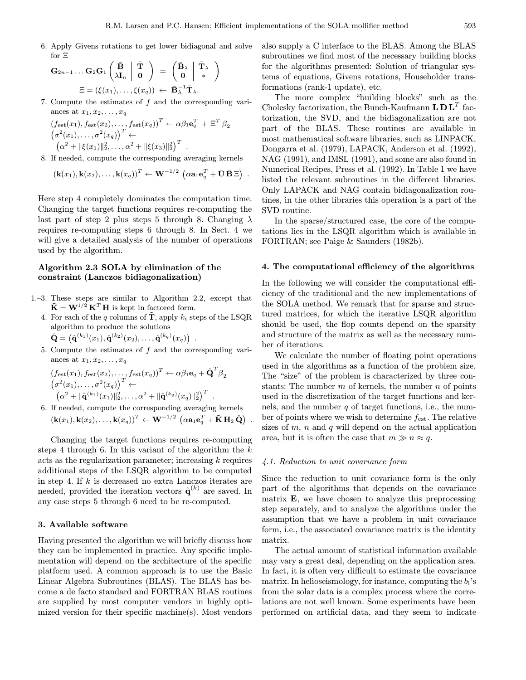6. Apply Givens rotations to get lower bidiagonal and solve for Ξ

$$
\begin{aligned} \mathbf{G}_{2n-1} \ldots \mathbf{G}_2 \mathbf{G}_1 \begin{pmatrix} \bar{\mathbf{B}} \\ \lambda \mathbf{I}_n \end{pmatrix} \begin{pmatrix} \tilde{\mathbf{T}} \\ \mathbf{0} \end{pmatrix} \; &= \; \begin{pmatrix} \bar{\mathbf{B}}_{\lambda} \\ \mathbf{0} \end{pmatrix} \begin{pmatrix} \tilde{\mathbf{T}}_{\lambda} \\ * \end{pmatrix} \\ \Xi = \left( \xi(x_1), \ldots, \xi(x_q) \right) \; \leftarrow \; \bar{\mathbf{B}}_{\lambda}^{-1} \tilde{\mathbf{T}}_{\lambda}. \end{aligned}
$$

7. Compute the estimates of f and the corresponding variances at  $x_1, x_2, \ldots, x_q$ 

$$
(f_{\text{est}}(x_1), f_{\text{est}}(x_2), \dots, f_{\text{est}}(x_q))^T \leftarrow \alpha \beta_1 \mathbf{e}_q^T + \Xi^T \beta_2
$$
  

$$
(\sigma^2(x_1), \dots, \sigma^2(x_q))^T \leftarrow
$$
  

$$
(\alpha^2 + ||\xi(x_1)||_2^2, \dots, \alpha^2 + ||\xi(x_3)||_2^2)^T.
$$

8. If needed, compute the corresponding averaging kernels

$$
(\mathbf{k}(x_1),\mathbf{k}(x_2),\ldots,\mathbf{k}(x_q))^T \leftarrow \mathbf{W}^{-1/2} \left( \alpha \mathbf{a}_1 \mathbf{e}_q^T + \bar{\mathbf{U}} \bar{\mathbf{B}} \Xi \right) .
$$

Here step 4 completely dominates the computation time. Changing the target functions requires re-computing the last part of step 2 plus steps 5 through 8. Changing  $\lambda$ requires re-computing steps 6 through 8. In Sect. 4 we will give a detailed analysis of the number of operations used by the algorithm.

## Algorithm 2.3 SOLA by elimination of the constraint (Lanczos bidiagonalization)

- 1.–3. These steps are similar to Algorithm 2.2, except that  $\tilde{\mathbf{K}} = \mathbf{W}^{1/2} \mathbf{K}^T \mathbf{H}$  is kept in factored form.
	- 4. For each of the q columns of  $\tilde{\mathbf{T}}$ , apply  $k_i$  steps of the LSQR algorithm to produce the solutions

$$
\hat{\mathbf{Q}} = (\hat{\mathbf{q}}^{(k_1)}(x_1), \hat{\mathbf{q}}^{(k_2)}(x_2), \dots, \hat{\mathbf{q}}^{(k_q)}(x_q)) \enspace .
$$

5. Compute the estimates of  $f$  and the corresponding variances at  $x_1, x_2, \ldots, x_q$ 

$$
(f_{\text{est}}(x_1), f_{\text{est}}(x_2), \dots, f_{\text{est}}(x_q))^T \leftarrow \alpha \beta_1 \mathbf{e}_q + \hat{\mathbf{Q}}^T \beta_2
$$
  

$$
(\sigma^2(x_1), \dots, \sigma^2(x_q))^T \leftarrow
$$
  

$$
(\alpha^2 + \|\hat{\mathbf{q}}^{(k_1)}(x_1)\|_2^2, \dots, \alpha^2 + \|\hat{\mathbf{q}}^{(k_q)}(x_q)\|_2^2)^T.
$$

6. If needed, compute the corresponding averaging kernels  $(\mathbf{k}(x_1), \mathbf{k}(x_2), \ldots, \mathbf{k}(x_q))^T \leftarrow \mathbf{W}^{-1/2} \, \left( \alpha \mathbf{a}_1 \mathbf{e}_q^T + \tilde{\mathbf{K}} \, \mathbf{H}_2 \, \hat{\mathbf{Q}} \right) \; .$ 

Changing the target functions requires re-computing steps 4 through 6. In this variant of the algorithm the  $k$ acts as the regularization parameter; increasing k requires additional steps of the LSQR algorithm to be computed in step 4. If  $k$  is decreased no extra Lanczos iterates are needed, provided the iteration vectors  $\hat{\mathbf{q}}^{(k)}$  are saved. In any case steps 5 through 6 need to be re-computed.

#### 3. Available software

Having presented the algorithm we will briefly discuss how they can be implemented in practice. Any specific implementation will depend on the architecture of the specific platform used. A common approach is to use the Basic Linear Algebra Subroutines (BLAS). The BLAS has become a de facto standard and FORTRAN BLAS routines are supplied by most computer vendors in highly optimized version for their specific machine(s). Most vendors also supply a C interface to the BLAS. Among the BLAS subroutines we find most of the necessary building blocks for the algorithms presented: Solution of triangular systems of equations, Givens rotations, Householder transformations (rank-1 update), etc.

The more complex "building blocks" such as the Cholesky factorization, the Bunch-Kaufmann  $L D L<sup>T</sup>$  factorization, the SVD, and the bidiagonalization are not part of the BLAS. These routines are available in most mathematical software libraries, such as LINPACK, Dongarra et al. (1979), LAPACK, Anderson et al. (1992), NAG (1991), and IMSL (1991), and some are also found in Numerical Recipes, Press et al. (1992). In Table 1 we have listed the relevant subroutines in the different libraries. Only LAPACK and NAG contain bidiagonalization routines, in the other libraries this operation is a part of the SVD routine.

In the sparse/structured case, the core of the computations lies in the LSQR algorithm which is available in FORTRAN; see Paige & Saunders (1982b).

# 4. The computational efficiency of the algorithms

In the following we will consider the computational efficiency of the traditional and the new implementations of the SOLA method. We remark that for sparse and structured matrices, for which the iterative LSQR algorithm should be used, the flop counts depend on the sparsity and structure of the matrix as well as the necessary number of iterations.

We calculate the number of floating point operations used in the algorithms as a function of the problem size. The "size" of the problem is characterized by three constants: The number  $m$  of kernels, the number  $n$  of points used in the discretization of the target functions and kernels, and the number  $q$  of target functions, i.e., the number of points where we wish to determine  $f_{est}$ . The relative sizes of  $m$ ,  $n$  and  $q$  will depend on the actual application area, but it is often the case that  $m \gg n \approx q$ .

#### 4.1. Reduction to unit covariance form

Since the reduction to unit covariance form is the only part of the algorithms that depends on the covariance matrix  $\bf{E}$ , we have chosen to analyze this preprocessing step separately, and to analyze the algorithms under the assumption that we have a problem in unit covariance form, i.e., the associated covariance matrix is the identity matrix.

The actual amount of statistical information available may vary a great deal, depending on the application area. In fact, it is often very difficult to estimate the covariance matrix. In helioseismology, for instance, computing the  $b_i$ 's from the solar data is a complex process where the correlations are not well known. Some experiments have been performed on artificial data, and they seem to indicate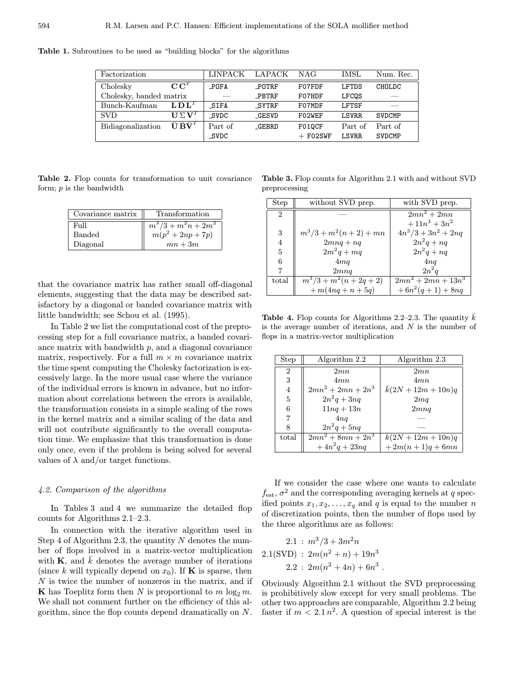| Factorization           |                                                           | LINPACK     | LAPACK       | NAG        | IMSL         | Num. Rec.     |
|-------------------------|-----------------------------------------------------------|-------------|--------------|------------|--------------|---------------|
| Cholesky                | $\overline{\mathbf{C}}\mathbf{C}^T$                       | POFA        | POTRF        | F07FDF     | LFTDS        | CHOLDC        |
| Cholesky, banded matrix |                                                           |             | PBTRF        | F07HDF     | LFCOS        |               |
| Bunch-Kaufman           | $L\mathbf{D}L^T$                                          | SIFA        | SYTRF        | F07MDF     | LFTSF        |               |
| <b>SVD</b>              | $\mathbf{U} \Sigma \mathbf{V}^T$                          | SVDC        | <b>GESVD</b> | F02WEF     | <b>LSVRR</b> | <b>SVDCMP</b> |
| Bidiagonalization       | $\bar{\textbf{U}} \, \bar{\textbf{B}} \bar{\textbf{V}}^T$ | Part of     | <b>GEBRD</b> | F010CF     | Part of      | Part of       |
|                         |                                                           | <b>SVDC</b> |              | $+$ FO2SWF | <b>LSVRR</b> | <b>SVDCMP</b> |

Table 1. Subroutines to be used as "building blocks" for the algorithms

Table 2. Flop counts for transformation to unit covariance form;  $p$  is the bandwidth

| Covariance matrix | Transformation        |
|-------------------|-----------------------|
| Full              | $m^3/3 + m^2n + 2m^2$ |
| Banded            | $m(p^2 + 2np + 7p)$   |
| Diagonal          | $mn+3m$               |

that the covariance matrix has rather small off-diagonal elements, suggesting that the data may be described satisfactory by a diagonal or banded covariance matrix with little bandwidth; see Schou et al. (1995).

In Table 2 we list the computational cost of the preprocessing step for a full covariance matrix, a banded covariance matrix with bandwidth  $p$ , and a diagonal covariance matrix, respectively. For a full  $m \times m$  covariance matrix the time spent computing the Cholesky factorization is excessively large. In the more usual case where the variance of the individual errors is known in advance, but no information about correlations between the errors is available, the transformation consists in a simple scaling of the rows in the kernel matrix and a similar scaling of the data and will not contribute significantly to the overall computation time. We emphasize that this transformation is done only once, even if the problem is being solved for several values of  $\lambda$  and/or target functions.

## 4.2. Comparison of the algorithms

In Tables 3 and 4 we summarize the detailed flop counts for Algorithms 2.1–2.3.

In connection with the iterative algorithm used in Step 4 of Algorithm 2.3, the quantity  $N$  denotes the number of flops involved in a matrix-vector multiplication with **K**, and  $\bar{k}$  denotes the average number of iterations (since k will typically depend on  $x_0$ ). If **K** is sparse, then N is twice the number of nonzeros in the matrix, and if **K** has Toeplitz form then N is proportional to  $m \log_2 m$ . We shall not comment further on the efficiency of this algorithm, since the flop counts depend dramatically on N.

Table 3. Flop counts for Algorithm 2.1 with and without SVD preprocessing

| Step           | without SVD prep.             | with SVD prep.        |
|----------------|-------------------------------|-----------------------|
| $\overline{2}$ |                               | $2mn^2+2mn$           |
|                |                               | $+11n^3+3n^2$         |
| $\sqrt{3}$     | $m^3/3 + m^2(n+2) + mn$       | $4n^3/3 + 3n^2 + 2nq$ |
| $\overline{4}$ | $2mnq + nq$                   | $2n^2q$ + nq          |
| 5              | $2m^2q + mq$                  | $2n^2q$ + nq          |
| 6              | 4mq                           | 4nq                   |
| 7              | 2mnq                          | $2n^2q$               |
| total          | $\frac{m^3}{3} + m^2(n+2q+2)$ | $2mn^2 + 2mn + 13n^3$ |
|                | $+ m(4nq + n + 5q)$           | $+6n^2(q+1)+8nq$      |

**Table 4.** Flop counts for Algorithms 2.2–2.3. The quantity  $\bar{k}$ is the average number of iterations, and  $N$  is the number of flops in a matrix-vector multiplication

| Step           | Algorithm 2.2        | Algorithm 2.3    |
|----------------|----------------------|------------------|
| $\overline{2}$ | 2mn                  | 2mn              |
| 3              | 4mn                  | 4mn              |
| $\overline{4}$ | $2mn^2 + 2mn + 2n^3$ | $k(2N+12m+10n)q$ |
| $\overline{5}$ | $2n^2q+3nq$          | 2mq              |
| 6              | $11nq + 13n$         | 2mnq             |
| $\overline{7}$ | 4nq                  |                  |
| 8              | $2n^2q+5nq$          |                  |
| total          | $2mn^2 + 8mn + 2n^3$ | $k(2N+12m+10n)q$ |
|                | $+4n^2q+23nq$        | $+2m(n+1)q+6mn$  |

If we consider the case where one wants to calculate  $f_{\text{est}}$ ,  $\sigma^2$  and the corresponding averaging kernels at q specified points  $x_1, x_2, \ldots, x_q$  and q is equal to the number n of discretization points, then the number of flops used by the three algorithms are as follows:

$$
2.1: m3/3 + 3m2n
$$
  
2.1(SVD):  $2m(n2 + n) + 19n3$   
2.2:  $2m(n2 + 4n) + 6n3$ .

Obviously Algorithm 2.1 without the SVD preprocessing is prohibitively slow except for very small problems. The other two approaches are comparable, Algorithm 2.2 being faster if  $m < 2.1 n^2$ . A question of special interest is the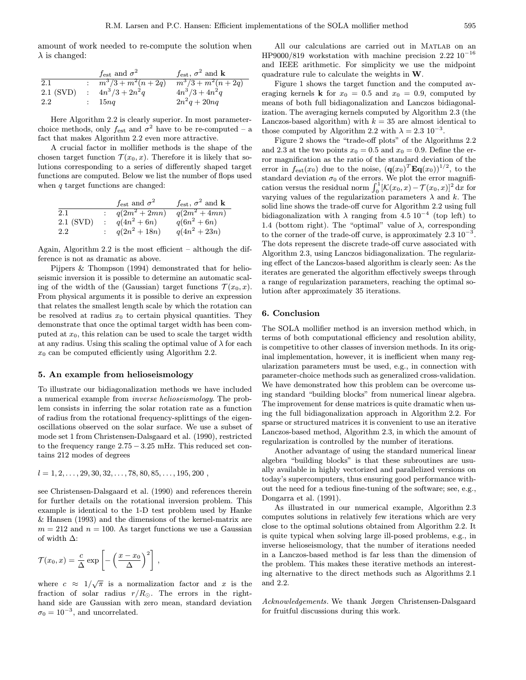amount of work needed to re-compute the solution when  $\lambda$  is changed:

|             | $f_{est}$ and $\sigma^2$ | $f_{est}$ , $\sigma^2$ and <b>k</b> |
|-------------|--------------------------|-------------------------------------|
| 2.1         | $m^3/3 + m^2(n+2q)$      | $m^3/3 + m^2(n+2q)$                 |
| $2.1$ (SVD) | : $4n^3/3 + 2n^2q$       | $4n^3/3 + 4n^2q$                    |
| 2.2         | : 15nq                   | $2n^2q + 20nq$                      |

Here Algorithm 2.2 is clearly superior. In most parameterchoice methods, only  $f_{est}$  and  $\sigma^2$  have to be re-computed – a fact that makes Algorithm 2.2 even more attractive.

A crucial factor in mollifier methods is the shape of the chosen target function  $\mathcal{T}(x_0, x)$ . Therefore it is likely that solutions corresponding to a series of differently shaped target functions are computed. Below we list the number of flops used when  $q$  target functions are changed:

|           | $f_{est}$ and $\sigma^2$ | $f_{est}$ , $\sigma^2$ and <b>k</b> |
|-----------|--------------------------|-------------------------------------|
| $2.1\,$   | $\sqrt{q(2m^2+2mn)}$     | $q(2m^2 + 4mn)$                     |
| 2.1 (SVD) | $q(4n^2+6n)$             | $q(6n^2 + 6n)$                      |
| $2.2\,$   | $q(2n^2+18n)$            | $q(4n^2+23n)$                       |

Again, Algorithm 2.2 is the most efficient – although the difference is not as dramatic as above.

Pijpers & Thompson (1994) demonstrated that for helioseismic inversion it is possible to determine an automatic scaling of the width of the (Gaussian) target functions  $\mathcal{T}(x_0, x)$ . From physical arguments it is possible to derive an expression that relates the smallest length scale by which the rotation can be resolved at radius  $x_0$  to certain physical quantities. They demonstrate that once the optimal target width has been computed at  $x_0$ , this relation can be used to scale the target width at any radius. Using this scaling the optimal value of  $\lambda$  for each  $x_0$  can be computed efficiently using Algorithm 2.2.

#### 5. An example from helioseismology

To illustrate our bidiagonalization methods we have included a numerical example from inverse helioseismology. The problem consists in inferring the solar rotation rate as a function of radius from the rotational frequency-splittings of the eigenoscillations observed on the solar surface. We use a subset of mode set 1 from Christensen-Dalsgaard et al. (1990), restricted to the frequency range  $2.75 - 3.25$  mHz. This reduced set contains 212 modes of degrees

$$
l = 1, 2, \ldots, 29, 30, 32, \ldots, 78, 80, 85, \ldots, 195, 200
$$

see Christensen-Dalsgaard et al. (1990) and references therein for further details on the rotational inversion problem. This example is identical to the 1-D test problem used by Hanke & Hansen (1993) and the dimensions of the kernel-matrix are  $m = 212$  and  $n = 100$ . As target functions we use a Gaussian of width  $\Delta$ :

$$
\mathcal{T}(x_0,x) = \frac{c}{\Delta} \exp \left[ -\left(\frac{x-x_0}{\Delta}\right)^2 \right],
$$

where  $c \approx 1/\sqrt{\pi}$  is a normalization factor and x is the fraction of solar radius  $r/R_{\odot}$ . The errors in the righthand side are Gaussian with zero mean, standard deviation  $\sigma_0 = 10^{-3}$ , and uncorrelated.

All our calculations are carried out in Matlab on an HP9000/819 workstation with machine precision  $2.22 \times 10^{-16}$ and IEEE arithmetic. For simplicity we use the midpoint quadrature rule to calculate the weights in W.

Figure 1 shows the target function and the computed averaging kernels **k** for  $x_0 = 0.5$  and  $x_0 = 0.9$ , computed by means of both full bidiagonalization and Lanczos bidiagonalization. The averaging kernels computed by Algorithm 2.3 (the Lanczos-based algorithm) with  $k = 35$  are almost identical to those computed by Algorithm 2.2 with  $\lambda = 2.3 \times 10^{-3}$ .

Figure 2 shows the "trade-off plots" of the Algorithms 2.2 and 2.3 at the two points  $x_0 = 0.5$  and  $x_0 = 0.9$ . Define the error magnification as the ratio of the standard deviation of the error in  $f_{est}(x_0)$  due to the noise,  $(\mathbf{q}(x_0)^T \mathbf{Eq}(x_0))^{1/2}$ , to the standard deviation  $\sigma_0$  of the errors. We plot the error magnification versus the residual norm  $\int_0^1 [\mathcal{K}(x_0, x) - \mathcal{T}(x_0, x)]^2 dx$  for varying values of the regularization parameters  $\lambda$  and  $k$ . The solid line shows the trade-off curve for Algorithm 2.2 using full bidiagonalization with  $\lambda$  ranging from 4.5 10<sup>-4</sup> (top left) to 1.4 (bottom right). The "optimal" value of  $\lambda$ , corresponding to the corner of the trade-off curve, is approximately  $2.3 \times 10^{-3}$ . The dots represent the discrete trade-off curve associated with Algorithm 2.3, using Lanczos bidiagonalization. The regularizing effect of the Lanczos-based algorithm is clearly seen: As the iterates are generated the algorithm effectively sweeps through a range of regularization parameters, reaching the optimal solution after approximately 35 iterations.

#### 6. Conclusion

The SOLA mollifier method is an inversion method which, in terms of both computational efficiency and resolution ability, is competitive to other classes of inversion methods. In its original implementation, however, it is inefficient when many regularization parameters must be used, e.g., in connection with parameter-choice methods such as generalized cross-validation. We have demonstrated how this problem can be overcome using standard "building blocks" from numerical linear algebra. The improvement for dense matrices is quite dramatic when using the full bidiagonalization approach in Algorithm 2.2. For sparse or structured matrices it is convenient to use an iterative Lanczos-based method, Algorithm 2.3, in which the amount of regularization is controlled by the number of iterations.

Another advantage of using the standard numerical linear algebra "building blocks" is that these subroutines are usually available in highly vectorized and parallelized versions on today's supercomputers, thus ensuring good performance without the need for a tedious fine-tuning of the software; see, e.g., Dongarra et al. (1991).

As illustrated in our numerical example, Algorithm 2.3 computes solutions in relatively few iterations which are very close to the optimal solutions obtained from Algorithm 2.2. It is quite typical when solving large ill-posed problems, e.g., in inverse helioseismology, that the number of iterations needed in a Lanczos-based method is far less than the dimension of the problem. This makes these iterative methods an interesting alternative to the direct methods such as Algorithms 2.1 and 2.2.

Acknowledgements. We thank Jørgen Christensen-Dalsgaard for fruitful discussions during this work.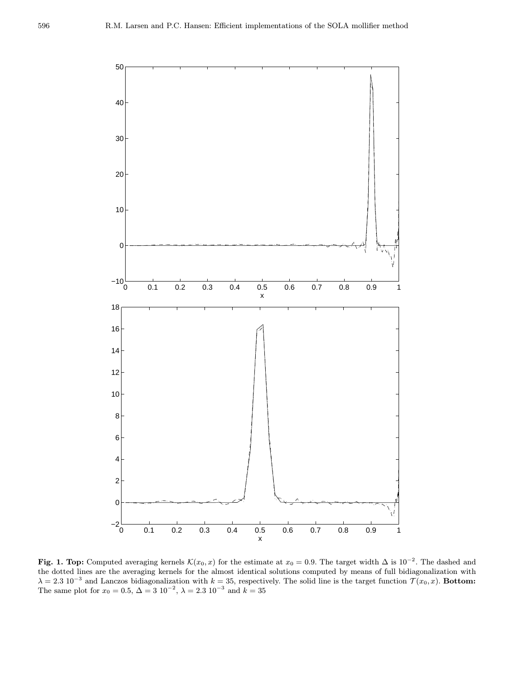

Fig. 1. Top: Computed averaging kernels  $\mathcal{K}(x_0, x)$  for the estimate at  $x_0 = 0.9$ . The target width  $\Delta$  is 10<sup>-2</sup>. The dashed and the dotted lines are the averaging kernels for the almost identical solutions computed by means of full bidiagonalization with  $\lambda = 2.3 \times 10^{-3}$  and Lanczos bidiagonalization with  $k = 35$ , respectively. The solid line is the target function  $\mathcal{T}(x_0, x)$ . Bottom: The same plot for  $x_0 = 0.5$ ,  $\Delta = 3 \times 10^{-2}$ ,  $\lambda = 2.3 \times 10^{-3}$  and  $k = 35$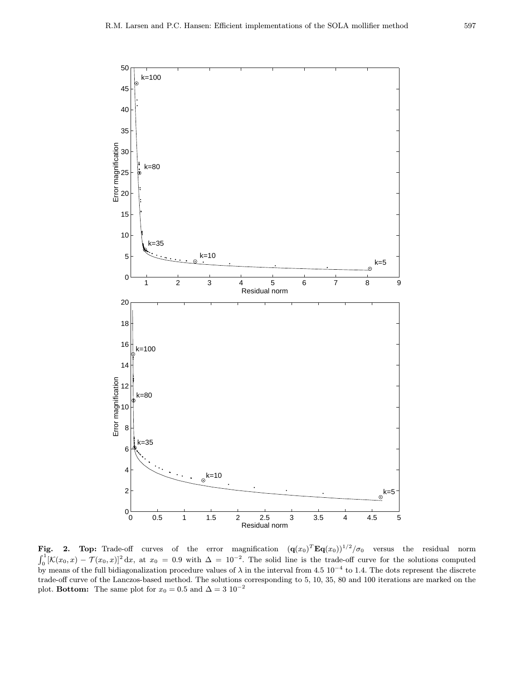

Fig. 2. Top: Trade-off curves of the error magnification  $(\mathbf{q}(x_0)^T \mathbf{E} \mathbf{q}(x_0))^{1/2} / \sigma_0$  versus the residual norm  $\int_0^1 [K(x_0, x) - \mathcal{T}(x_0, x)]^2 dx$ , at  $x_0 = 0.9$  with  $\Delta = 10^{-2}$ . The solid line is the trade-off curve for the solutions computed by means of the full bidiagonalization procedure values of  $\lambda$  in the interval from 4.5 10<sup>-4</sup> to 1.4. The dots represent the discrete trade-off curve of the Lanczos-based method. The solutions corresponding to 5, 10, 35, 80 and 100 iterations are marked on the plot. Bottom: The same plot for  $x_0 = 0.5$  and  $\Delta = 3 \; 10^{-2}$